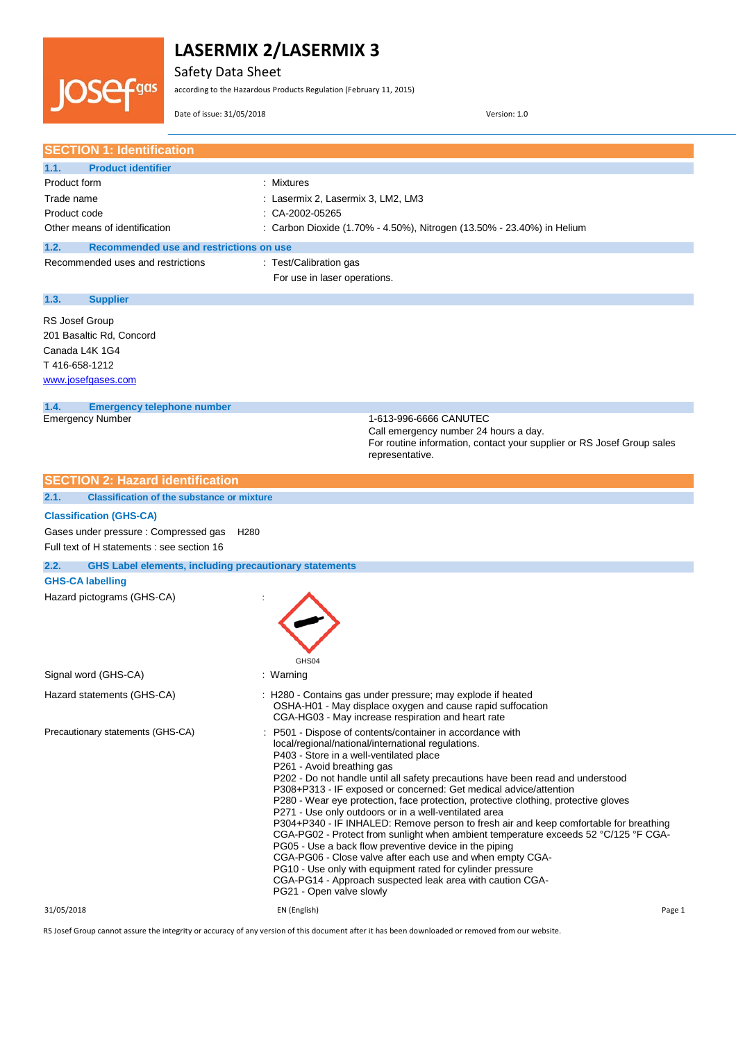

Safety Data Sheet

according to the Hazardous Products Regulation (February 11, 2015)

Date of issue: 31/05/2018 Version: 1.0

| <b>SECTION 1: Identification</b>                                      |                                                                                                                                                                              |
|-----------------------------------------------------------------------|------------------------------------------------------------------------------------------------------------------------------------------------------------------------------|
| <b>Product identifier</b><br>1.1.                                     |                                                                                                                                                                              |
| Product form                                                          | : Mixtures                                                                                                                                                                   |
| Trade name                                                            | : Lasermix 2, Lasermix 3, LM2, LM3                                                                                                                                           |
| Product code                                                          | : CA-2002-05265                                                                                                                                                              |
| Other means of identification                                         | : Carbon Dioxide (1.70% - 4.50%), Nitrogen (13.50% - 23.40%) in Helium                                                                                                       |
|                                                                       |                                                                                                                                                                              |
| 1.2.<br>Recommended use and restrictions on use                       |                                                                                                                                                                              |
| Recommended uses and restrictions                                     | : Test/Calibration gas                                                                                                                                                       |
|                                                                       | For use in laser operations.                                                                                                                                                 |
| 1.3.<br><b>Supplier</b>                                               |                                                                                                                                                                              |
| <b>RS Josef Group</b>                                                 |                                                                                                                                                                              |
| 201 Basaltic Rd, Concord                                              |                                                                                                                                                                              |
| Canada L4K 1G4                                                        |                                                                                                                                                                              |
| T416-658-1212                                                         |                                                                                                                                                                              |
| www.josefgases.com                                                    |                                                                                                                                                                              |
|                                                                       |                                                                                                                                                                              |
| 1.4.<br><b>Emergency telephone number</b>                             |                                                                                                                                                                              |
| <b>Emergency Number</b>                                               | 1-613-996-6666 CANUTEC                                                                                                                                                       |
|                                                                       | Call emergency number 24 hours a day.                                                                                                                                        |
|                                                                       | For routine information, contact your supplier or RS Josef Group sales<br>representative.                                                                                    |
|                                                                       |                                                                                                                                                                              |
| <b>SECTION 2: Hazard identification</b>                               |                                                                                                                                                                              |
| 2.1.<br><b>Classification of the substance or mixture</b>             |                                                                                                                                                                              |
| <b>Classification (GHS-CA)</b>                                        |                                                                                                                                                                              |
|                                                                       |                                                                                                                                                                              |
| Gases under pressure : Compressed gas                                 | H <sub>280</sub>                                                                                                                                                             |
| Full text of H statements : see section 16                            |                                                                                                                                                                              |
| <b>GHS Label elements, including precautionary statements</b><br>2.2. |                                                                                                                                                                              |
| <b>GHS-CA labelling</b>                                               |                                                                                                                                                                              |
| Hazard pictograms (GHS-CA)                                            |                                                                                                                                                                              |
|                                                                       |                                                                                                                                                                              |
|                                                                       |                                                                                                                                                                              |
|                                                                       |                                                                                                                                                                              |
|                                                                       | GHS04                                                                                                                                                                        |
| Signal word (GHS-CA)                                                  | : Warning                                                                                                                                                                    |
|                                                                       | : H280 - Contains gas under pressure; may explode if heated                                                                                                                  |
| Hazard statements (GHS-CA)                                            | OSHA-H01 - May displace oxygen and cause rapid suffocation                                                                                                                   |
|                                                                       | CGA-HG03 - May increase respiration and heart rate                                                                                                                           |
| Precautionary statements (GHS-CA)                                     | : P501 - Dispose of contents/container in accordance with                                                                                                                    |
|                                                                       | local/regional/national/international regulations.                                                                                                                           |
|                                                                       | P403 - Store in a well-ventilated place                                                                                                                                      |
|                                                                       | P261 - Avoid breathing gas<br>P202 - Do not handle until all safety precautions have been read and understood                                                                |
|                                                                       | P308+P313 - IF exposed or concerned: Get medical advice/attention                                                                                                            |
|                                                                       | P280 - Wear eye protection, face protection, protective clothing, protective gloves                                                                                          |
|                                                                       | P271 - Use only outdoors or in a well-ventilated area                                                                                                                        |
|                                                                       | P304+P340 - IF INHALED: Remove person to fresh air and keep comfortable for breathing<br>CGA-PG02 - Protect from sunlight when ambient temperature exceeds 52 °C/125 °F CGA- |
|                                                                       | PG05 - Use a back flow preventive device in the piping                                                                                                                       |
|                                                                       | CGA-PG06 - Close valve after each use and when empty CGA-                                                                                                                    |
|                                                                       | PG10 - Use only with equipment rated for cylinder pressure                                                                                                                   |
|                                                                       | CGA-PG14 - Approach suspected leak area with caution CGA-                                                                                                                    |
|                                                                       | PG21 - Open valve slowly                                                                                                                                                     |
| 31/05/2018                                                            | EN (English)<br>Page 1                                                                                                                                                       |

RS Josef Group cannot assure the integrity or accuracy of any version of this document after it has been downloaded or removed from our website.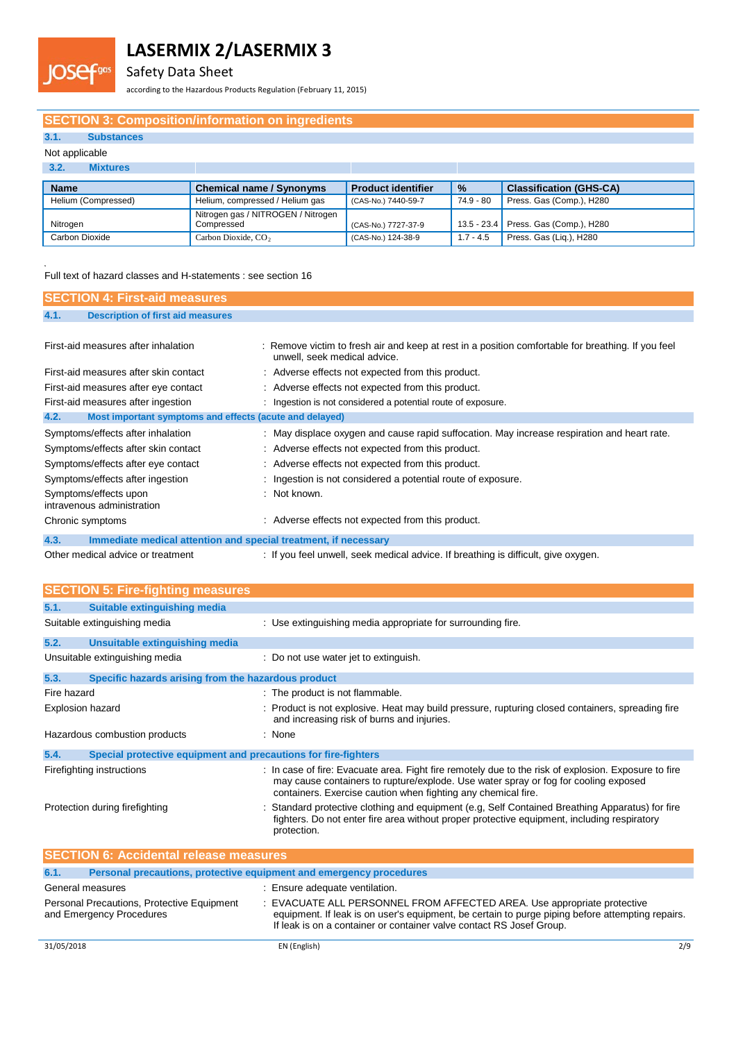Safety Data Sheet

according to the Hazardous Products Regulation (February 11, 2015)

### **SECTION 3: Composition/information on ingredients**

### **3.1. Substances**

### Not applicable

OSE

| 3.2.<br><b>Mixtures</b> |                                                  |                           |               |                                      |
|-------------------------|--------------------------------------------------|---------------------------|---------------|--------------------------------------|
| <b>Name</b>             | <b>Chemical name / Synonyms</b>                  | <b>Product identifier</b> | $\frac{9}{6}$ | <b>Classification (GHS-CA)</b>       |
| Helium (Compressed)     | Helium, compressed / Helium gas                  | (CAS-No.) 7440-59-7       | 74.9 - 80     | Press. Gas (Comp.), H280             |
| Nitrogen                | Nitrogen gas / NITROGEN / Nitrogen<br>Compressed | (CAS-No.) 7727-37-9       |               | 13.5 - 23.4 Press. Gas (Comp.), H280 |
| Carbon Dioxide          | Carbon Dioxide, CO <sub>2</sub>                  | (CAS-No.) 124-38-9        | $1.7 - 4.5$   | Press. Gas (Lig.), H280              |

Full text of hazard classes and H-statements : see section 16

| <b>SECTION 4: First-aid measures</b>                                    |                                                                                                                                    |
|-------------------------------------------------------------------------|------------------------------------------------------------------------------------------------------------------------------------|
| <b>Description of first aid measures</b><br>4.1.                        |                                                                                                                                    |
|                                                                         |                                                                                                                                    |
| First-aid measures after inhalation                                     | : Remove victim to fresh air and keep at rest in a position comfortable for breathing. If you feel<br>unwell, seek medical advice. |
| First-aid measures after skin contact                                   | : Adverse effects not expected from this product.                                                                                  |
| First-aid measures after eye contact                                    | : Adverse effects not expected from this product.                                                                                  |
| First-aid measures after ingestion                                      | : Ingestion is not considered a potential route of exposure.                                                                       |
| 4.2.<br>Most important symptoms and effects (acute and delayed)         |                                                                                                                                    |
| Symptoms/effects after inhalation                                       | : May displace oxygen and cause rapid suffocation. May increase respiration and heart rate.                                        |
| Symptoms/effects after skin contact                                     | : Adverse effects not expected from this product.                                                                                  |
| Symptoms/effects after eye contact                                      | : Adverse effects not expected from this product.                                                                                  |
| Symptoms/effects after ingestion                                        | : Ingestion is not considered a potential route of exposure.                                                                       |
| Symptoms/effects upon<br>intravenous administration                     | : Not known.                                                                                                                       |
| Chronic symptoms                                                        | : Adverse effects not expected from this product.                                                                                  |
| 4.3.<br>Immediate medical attention and special treatment, if necessary |                                                                                                                                    |

Other medical advice or treatment : If you feel unwell, seek medical advice. If breathing is difficult, give oxygen.

|                  | <b>SECTION 5: Fire-fighting measures</b>                               |                                                                                                                                                                                                                                                              |
|------------------|------------------------------------------------------------------------|--------------------------------------------------------------------------------------------------------------------------------------------------------------------------------------------------------------------------------------------------------------|
| 5.1.             | Suitable extinguishing media                                           |                                                                                                                                                                                                                                                              |
|                  | Suitable extinguishing media                                           | : Use extinguishing media appropriate for surrounding fire.                                                                                                                                                                                                  |
| 5.2.             | Unsuitable extinguishing media                                         |                                                                                                                                                                                                                                                              |
|                  | Unsuitable extinguishing media                                         | : Do not use water jet to extinguish.                                                                                                                                                                                                                        |
| 5.3.             | Specific hazards arising from the hazardous product                    |                                                                                                                                                                                                                                                              |
| Fire hazard      |                                                                        | : The product is not flammable.                                                                                                                                                                                                                              |
| Explosion hazard |                                                                        | : Product is not explosive. Heat may build pressure, rupturing closed containers, spreading fire<br>and increasing risk of burns and injuries.                                                                                                               |
|                  | Hazardous combustion products                                          | : None                                                                                                                                                                                                                                                       |
| 5.4.             | Special protective equipment and precautions for fire-fighters         |                                                                                                                                                                                                                                                              |
|                  | Firefighting instructions                                              | : In case of fire: Evacuate area. Fight fire remotely due to the risk of explosion. Exposure to fire<br>may cause containers to rupture/explode. Use water spray or fog for cooling exposed<br>containers. Exercise caution when fighting any chemical fire. |
|                  | Protection during firefighting                                         | Standard protective clothing and equipment (e.g, Self Contained Breathing Apparatus) for fire<br>fighters. Do not enter fire area without proper protective equipment, including respiratory<br>protection.                                                  |
|                  | <b>SECTION 6: Accidental release measures</b>                          |                                                                                                                                                                                                                                                              |
| 6.1.             | Personal precautions, protective equipment and emergency procedures    |                                                                                                                                                                                                                                                              |
| General measures |                                                                        | : Ensure adequate ventilation.                                                                                                                                                                                                                               |
|                  | Personal Precautions, Protective Equipment<br>and Emergency Procedures | : EVACUATE ALL PERSONNEL FROM AFFECTED AREA. Use appropriate protective<br>equipment. If leak is on user's equipment, be certain to purge piping before attempting repairs.<br>If leak is on a container or container valve contact RS Josef Group.          |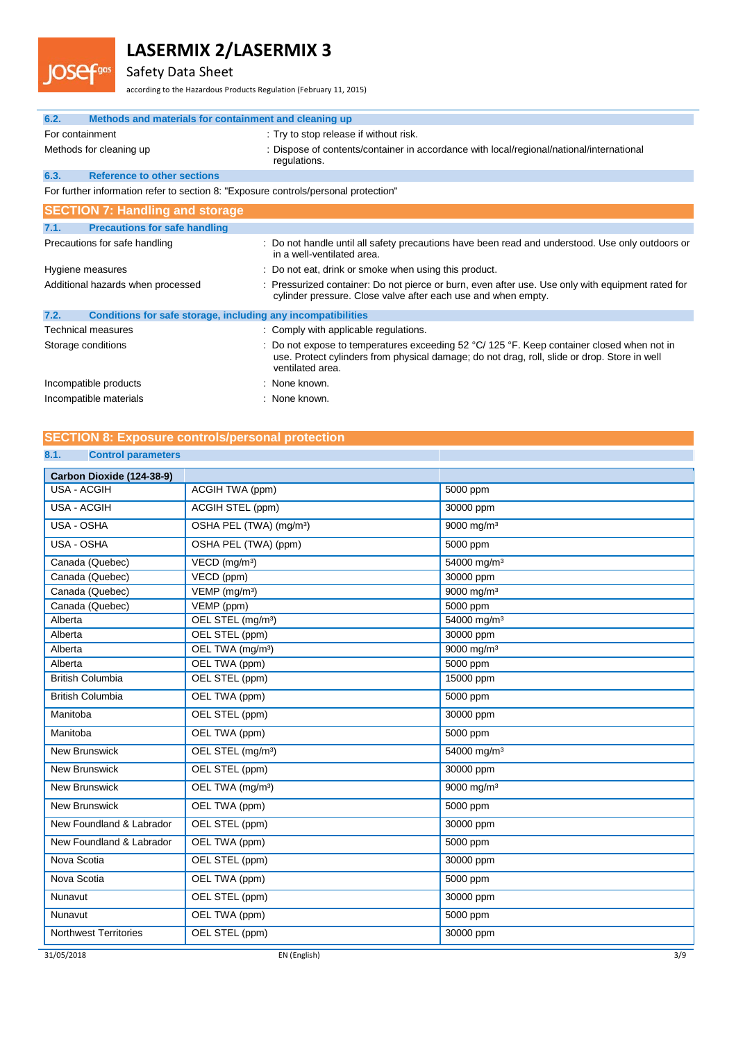## Safety Data Sheet

**JOSefgas** 

according to the Hazardous Products Regulation (February 11, 2015)

| 6.2.<br>Methods and materials for containment and cleaning up                       |                                                                                                                                                                                                                                  |
|-------------------------------------------------------------------------------------|----------------------------------------------------------------------------------------------------------------------------------------------------------------------------------------------------------------------------------|
| For containment                                                                     | : Try to stop release if without risk.                                                                                                                                                                                           |
| Methods for cleaning up                                                             | : Dispose of contents/container in accordance with local/regional/national/international<br>regulations.                                                                                                                         |
| 6.3.<br><b>Reference to other sections</b>                                          |                                                                                                                                                                                                                                  |
| For further information refer to section 8: "Exposure controls/personal protection" |                                                                                                                                                                                                                                  |
| <b>SECTION 7: Handling and storage</b>                                              |                                                                                                                                                                                                                                  |
| <b>Precautions for safe handling</b><br>7.1.                                        |                                                                                                                                                                                                                                  |
| Precautions for safe handling                                                       | : Do not handle until all safety precautions have been read and understood. Use only outdoors or<br>in a well-ventilated area.                                                                                                   |
| Hygiene measures                                                                    | : Do not eat, drink or smoke when using this product.                                                                                                                                                                            |
| Additional hazards when processed                                                   | : Pressurized container: Do not pierce or burn, even after use. Use only with equipment rated for<br>cylinder pressure. Close valve after each use and when empty.                                                               |
| Conditions for safe storage, including any incompatibilities<br>7.2.                |                                                                                                                                                                                                                                  |
| Technical measures                                                                  | : Comply with applicable regulations.                                                                                                                                                                                            |
| Storage conditions                                                                  | : Do not expose to temperatures exceeding 52 $\degree$ C/ 125 $\degree$ F. Keep container closed when not in<br>use. Protect cylinders from physical damage; do not drag, roll, slide or drop. Store in well<br>ventilated area. |
| Incompatible products                                                               | : None known.                                                                                                                                                                                                                    |
| Incompatible materials                                                              | : None known.                                                                                                                                                                                                                    |

### **SECTION 8: Exposure controls/personal protection**

### **8.1. Control parameters**

| Carbon Dioxide (124-38-9)    |                                     |                         |
|------------------------------|-------------------------------------|-------------------------|
| <b>USA - ACGIH</b>           | ACGIH TWA (ppm)                     | 5000 ppm                |
| <b>USA - ACGIH</b>           | ACGIH STEL (ppm)                    | 30000 ppm               |
| USA - OSHA                   | OSHA PEL (TWA) (mg/m <sup>3</sup> ) | 9000 mg/m <sup>3</sup>  |
| USA - OSHA                   | OSHA PEL (TWA) (ppm)                | 5000 ppm                |
| Canada (Quebec)              | VECD (mg/m <sup>3</sup> )           | 54000 mg/m <sup>3</sup> |
| Canada (Quebec)              | VECD (ppm)                          | 30000 ppm               |
| Canada (Quebec)              | $VEMP$ (mg/m <sup>3</sup> )         | 9000 mg/m <sup>3</sup>  |
| Canada (Quebec)              | VEMP (ppm)                          | 5000 ppm                |
| Alberta                      | OEL STEL (mg/m <sup>3</sup> )       | 54000 mg/m <sup>3</sup> |
| Alberta                      | OEL STEL (ppm)                      | 30000 ppm               |
| Alberta                      | OEL TWA (mg/m <sup>3</sup> )        | 9000 mg/m <sup>3</sup>  |
| Alberta                      | OEL TWA (ppm)                       | 5000 ppm                |
| <b>British Columbia</b>      | OEL STEL (ppm)                      | 15000 ppm               |
| <b>British Columbia</b>      | OEL TWA (ppm)                       | 5000 ppm                |
| Manitoba                     | OEL STEL (ppm)                      | 30000 ppm               |
| Manitoba                     | OEL TWA (ppm)                       | 5000 ppm                |
| <b>New Brunswick</b>         | OEL STEL (mg/m <sup>3</sup> )       | 54000 mg/m <sup>3</sup> |
| <b>New Brunswick</b>         | OEL STEL (ppm)                      | 30000 ppm               |
| <b>New Brunswick</b>         | OEL TWA (mg/m <sup>3</sup> )        | 9000 mg/m <sup>3</sup>  |
| <b>New Brunswick</b>         | OEL TWA (ppm)                       | 5000 ppm                |
| New Foundland & Labrador     | OEL STEL (ppm)                      | 30000 ppm               |
| New Foundland & Labrador     | OEL TWA (ppm)                       | 5000 ppm                |
| Nova Scotia                  | OEL STEL (ppm)                      | 30000 ppm               |
| Nova Scotia                  | OEL TWA (ppm)                       | 5000 ppm                |
| Nunavut                      | OEL STEL (ppm)                      | 30000 ppm               |
| Nunavut                      | OEL TWA (ppm)                       | 5000 ppm                |
| <b>Northwest Territories</b> | OEL STEL (ppm)                      | 30000 ppm               |
| 31/05/2018                   | EN (English)                        | 3/9                     |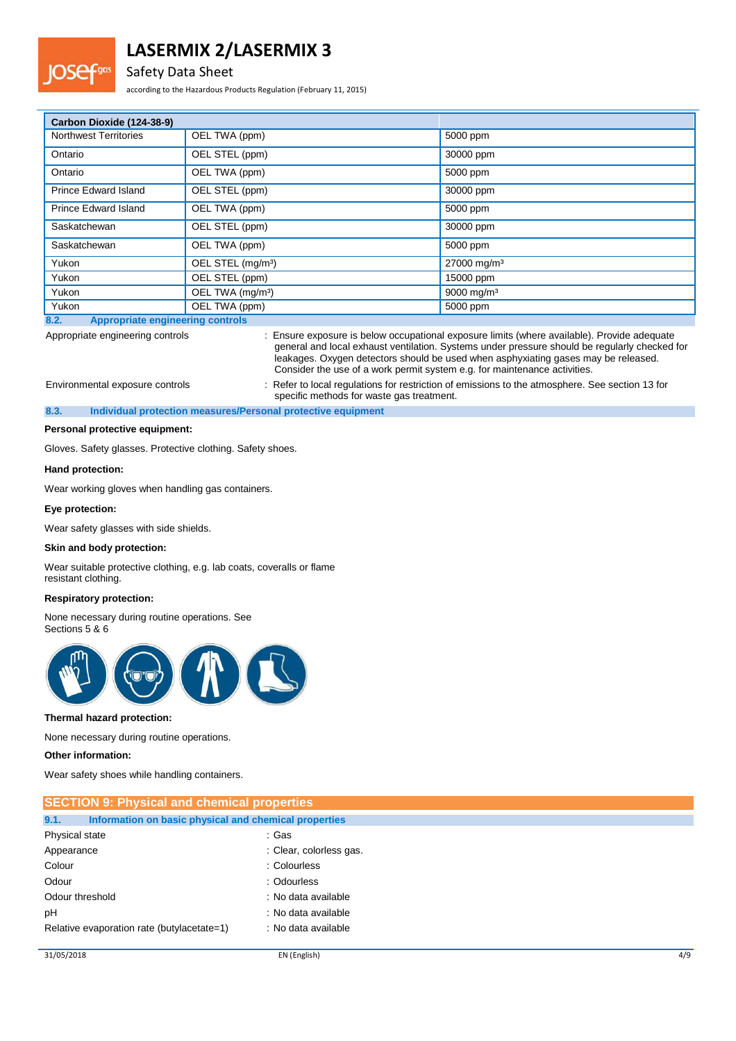### Safety Data Sheet

according to the Hazardous Products Regulation (February 11, 2015)

| Carbon Dioxide (124-38-9)                       |                               |                         |
|-------------------------------------------------|-------------------------------|-------------------------|
| <b>Northwest Territories</b>                    | OEL TWA (ppm)                 | 5000 ppm                |
| Ontario                                         | OEL STEL (ppm)                | 30000 ppm               |
| Ontario                                         | OEL TWA (ppm)                 | 5000 ppm                |
| <b>Prince Edward Island</b>                     | OEL STEL (ppm)                | 30000 ppm               |
| <b>Prince Edward Island</b>                     | OEL TWA (ppm)                 | 5000 ppm                |
| Saskatchewan                                    | OEL STEL (ppm)                | 30000 ppm               |
| Saskatchewan                                    | OEL TWA (ppm)                 | 5000 ppm                |
| Yukon                                           | OEL STEL (mg/m <sup>3</sup> ) | 27000 mg/m <sup>3</sup> |
| Yukon                                           | OEL STEL (ppm)                | 15000 ppm               |
| Yukon                                           | OEL TWA (mg/m <sup>3</sup> )  | 9000 mg/m <sup>3</sup>  |
| Yukon                                           | OEL TWA (ppm)                 | 5000 ppm                |
| <b>Appropriate engineering controls</b><br>8.2. |                               |                         |

Appropriate engineering controls : Ensure exposure is below occupational exposure limits (where available). Provide adequate general and local exhaust ventilation. Systems under pressure should be regularly checked for leakages. Oxygen detectors should be used when asphyxiating gases may be released. Consider the use of a work permit system e.g. for maintenance activities. Environmental exposure controls : Refer to local regulations for restriction of emissions to the atmosphere. See section 13 for

specific methods for waste gas treatment. **8.3. Individual protection measures/Personal protective equipment**

**Personal protective equipment:**

Gloves. Safety glasses. Protective clothing. Safety shoes.

#### **Hand protection:**

Wear working gloves when handling gas containers.

#### **Eye protection:**

Wear safety glasses with side shields.

#### **Skin and body protection:**

Wear suitable protective clothing, e.g. lab coats, coveralls or flame resistant clothing.

#### **Respiratory protection:**

None necessary during routine operations. See Sections 5 & 6



#### **Thermal hazard protection:**

None necessary during routine operations.

#### **Other information:**

Wear safety shoes while handling containers.

| <b>SECTION 9: Physical and chemical properties</b>            |                         |
|---------------------------------------------------------------|-------------------------|
| 9.1.<br>Information on basic physical and chemical properties |                         |
| Physical state                                                | : Gas                   |
| Appearance                                                    | : Clear, colorless gas. |
| Colour                                                        | : Colourless            |
| Odour                                                         | : Odourless             |
| Odour threshold                                               | : No data available     |
| pH                                                            | : No data available     |
| Relative evaporation rate (butylacetate=1)                    | : No data available     |
|                                                               |                         |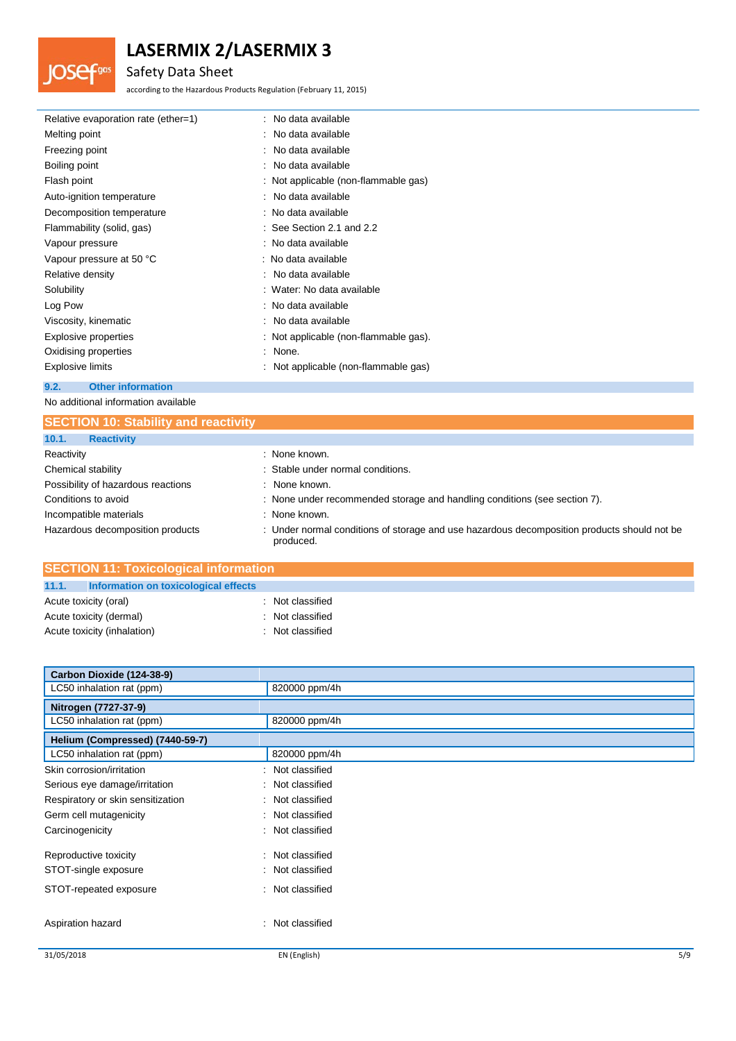## Safety Data Sheet

**JOSef**gas

according to the Hazardous Products Regulation (February 11, 2015)

| Relative evaporation rate (ether=1) | : No data available                   |
|-------------------------------------|---------------------------------------|
| Melting point                       | : No data available                   |
| Freezing point                      | : No data available                   |
| Boiling point                       | : No data available                   |
| Flash point                         | : Not applicable (non-flammable gas)  |
| Auto-ignition temperature           | : No data available                   |
| Decomposition temperature           | : No data available                   |
| Flammability (solid, gas)           | $\therefore$ See Section 2.1 and 2.2  |
| Vapour pressure                     | : No data available                   |
| Vapour pressure at 50 °C            | : No data available                   |
| Relative density                    | : No data available                   |
| Solubility                          | : Water: No data available            |
| Log Pow                             | : No data available                   |
| Viscosity, kinematic                | : No data available                   |
| Explosive properties                | : Not applicable (non-flammable gas). |
| Oxidising properties                | : None.                               |
| Explosive limits                    | : Not applicable (non-flammable gas)  |
| <b>Other information</b><br>9.2.    |                                       |

No additional information available

| <b>SECTION 10: Stability and reactivity</b> |                                                                                                          |
|---------------------------------------------|----------------------------------------------------------------------------------------------------------|
| 10.1.<br><b>Reactivity</b>                  |                                                                                                          |
| Reactivity                                  | : None known.                                                                                            |
| Chemical stability                          | : Stable under normal conditions.                                                                        |
| Possibility of hazardous reactions          | : None known.                                                                                            |
| Conditions to avoid                         | : None under recommended storage and handling conditions (see section 7).                                |
| Incompatible materials                      | : None known.                                                                                            |
| Hazardous decomposition products            | : Under normal conditions of storage and use hazardous decomposition products should not be<br>produced. |

| <b>SECTION 11: Toxicological information</b>  |                  |  |
|-----------------------------------------------|------------------|--|
| 11.1.<br>Information on toxicological effects |                  |  |
| Acute toxicity (oral)                         | : Not classified |  |
| Acute toxicity (dermal)                       | : Not classified |  |
| Acute toxicity (inhalation)                   | : Not classified |  |

| Carbon Dioxide (124-38-9)         |                     |     |
|-----------------------------------|---------------------|-----|
| LC50 inhalation rat (ppm)         | 820000 ppm/4h       |     |
| Nitrogen (7727-37-9)              |                     |     |
| LC50 inhalation rat (ppm)         | 820000 ppm/4h       |     |
| Helium (Compressed) (7440-59-7)   |                     |     |
| LC50 inhalation rat (ppm)         | 820000 ppm/4h       |     |
| Skin corrosion/irritation         | : Not classified    |     |
| Serious eye damage/irritation     | : Not classified    |     |
| Respiratory or skin sensitization | : Not classified    |     |
| Germ cell mutagenicity            | : Not classified    |     |
| Carcinogenicity                   | : Not classified    |     |
| Reproductive toxicity             | : Not classified    |     |
| STOT-single exposure              | : Not classified    |     |
| STOT-repeated exposure            | : Not classified    |     |
| Aspiration hazard                 | Not classified<br>÷ |     |
| 31/05/2018                        | EN (English)        | 5/9 |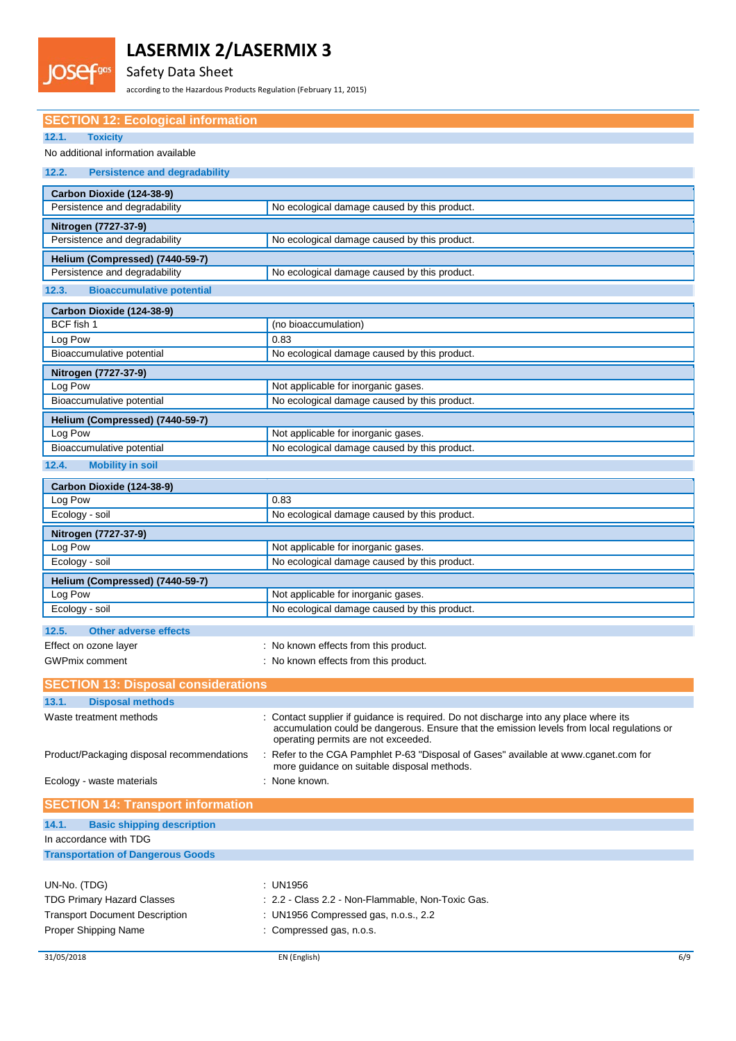## Safety Data Sheet

**IOSef<sup>gas</sup>** 

according to the Hazardous Products Regulation (February 11, 2015)

| <b>SECTION 12: Ecological information</b>                  |                                                                                                                                     |
|------------------------------------------------------------|-------------------------------------------------------------------------------------------------------------------------------------|
| 12.1.<br><b>Toxicity</b>                                   |                                                                                                                                     |
| No additional information available                        |                                                                                                                                     |
| 12.2.<br><b>Persistence and degradability</b>              |                                                                                                                                     |
|                                                            |                                                                                                                                     |
| Carbon Dioxide (124-38-9)<br>Persistence and degradability | No ecological damage caused by this product.                                                                                        |
|                                                            |                                                                                                                                     |
| Nitrogen (7727-37-9)                                       |                                                                                                                                     |
| Persistence and degradability                              | No ecological damage caused by this product.                                                                                        |
| Helium (Compressed) (7440-59-7)                            |                                                                                                                                     |
| Persistence and degradability                              | No ecological damage caused by this product.                                                                                        |
| <b>Bioaccumulative potential</b><br>12.3.                  |                                                                                                                                     |
| Carbon Dioxide (124-38-9)                                  |                                                                                                                                     |
| BCF fish 1                                                 | (no bioaccumulation)                                                                                                                |
| Log Pow                                                    | 0.83                                                                                                                                |
| Bioaccumulative potential                                  | No ecological damage caused by this product.                                                                                        |
| Nitrogen (7727-37-9)                                       |                                                                                                                                     |
| Log Pow                                                    | Not applicable for inorganic gases.                                                                                                 |
| Bioaccumulative potential                                  | No ecological damage caused by this product.                                                                                        |
| Helium (Compressed) (7440-59-7)                            |                                                                                                                                     |
| Log Pow                                                    | Not applicable for inorganic gases.                                                                                                 |
| Bioaccumulative potential                                  | No ecological damage caused by this product.                                                                                        |
| 12.4.<br><b>Mobility in soil</b>                           |                                                                                                                                     |
|                                                            |                                                                                                                                     |
| Carbon Dioxide (124-38-9)<br>Log Pow                       | 0.83                                                                                                                                |
| Ecology - soil                                             | No ecological damage caused by this product.                                                                                        |
|                                                            |                                                                                                                                     |
| Nitrogen (7727-37-9)<br>Log Pow                            | Not applicable for inorganic gases.                                                                                                 |
| Ecology - soil                                             | No ecological damage caused by this product.                                                                                        |
|                                                            |                                                                                                                                     |
| Helium (Compressed) (7440-59-7)<br>Log Pow                 | Not applicable for inorganic gases.                                                                                                 |
| Ecology - soil                                             | No ecological damage caused by this product.                                                                                        |
|                                                            |                                                                                                                                     |
| 12.5.<br><b>Other adverse effects</b>                      |                                                                                                                                     |
| Effect on ozone layer                                      | : No known effects from this product.                                                                                               |
| <b>GWPmix comment</b>                                      | : No known effects from this product.                                                                                               |
| <b>SECTION 13: Disposal considerations</b>                 |                                                                                                                                     |
| 13.1.<br><b>Disposal methods</b>                           |                                                                                                                                     |
| Waste treatment methods                                    | : Contact supplier if guidance is required. Do not discharge into any place where its                                               |
|                                                            | accumulation could be dangerous. Ensure that the emission levels from local regulations or<br>operating permits are not exceeded.   |
| Product/Packaging disposal recommendations                 | : Refer to the CGA Pamphlet P-63 "Disposal of Gases" available at www.cganet.com for<br>more guidance on suitable disposal methods. |
| Ecology - waste materials                                  | : None known.                                                                                                                       |
| <b>SECTION 14: Transport information</b>                   |                                                                                                                                     |
|                                                            |                                                                                                                                     |
| <b>Basic shipping description</b><br>14.1.                 |                                                                                                                                     |
| In accordance with TDG                                     |                                                                                                                                     |
| <b>Transportation of Dangerous Goods</b>                   |                                                                                                                                     |

| UN-No. (TDG)                          | : UN1956                                          |
|---------------------------------------|---------------------------------------------------|
| <b>TDG Primary Hazard Classes</b>     | : 2.2 - Class 2.2 - Non-Flammable, Non-Toxic Gas. |
| <b>Transport Document Description</b> | : UN1956 Compressed gas, n.o.s., $2.2$            |
| Proper Shipping Name                  | : Compressed gas, n.o.s.                          |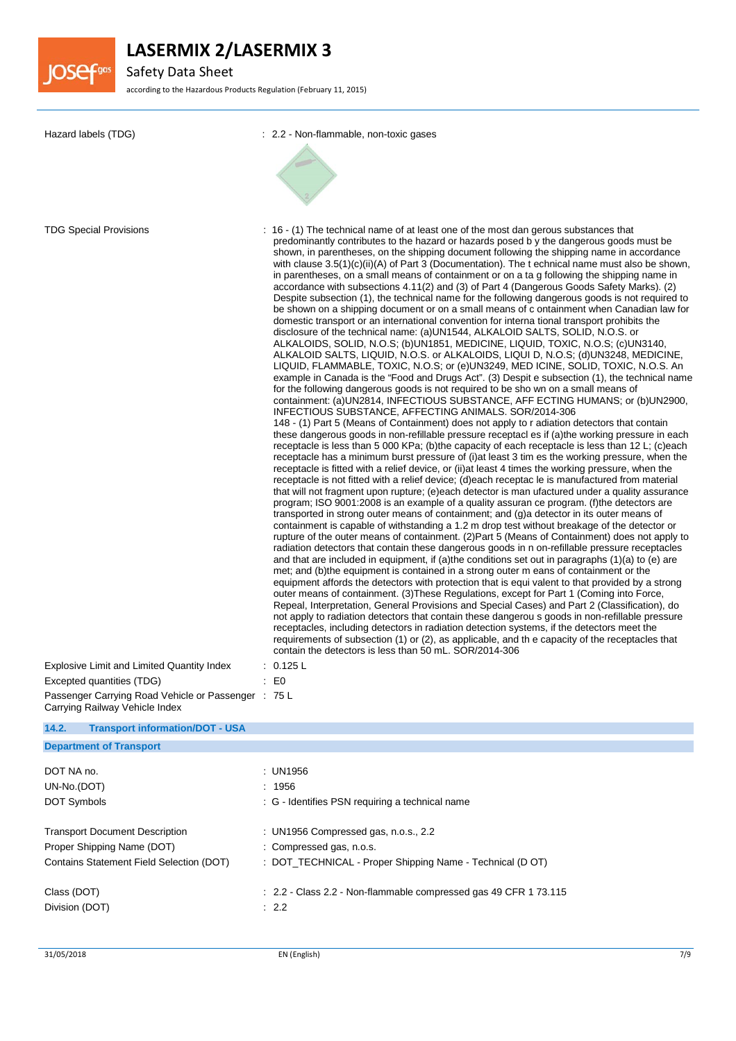

Safety Data Sheet

according to the Hazardous Products Regulation (February 11, 2015)

| Hazard labels (TDG)                                                                                                                                             | : 2.2 - Non-flammable, non-toxic gases                                                                                                                                                                                                                                                                                                                                                                                                                                                                                                                                                                                                                                                                                                                                                                                                                                                                                                                                                                                                                                                                                                                                                                                                                                                                                                                                                                                                                                                                                                                                                                                                                                                                                                                                                                                                                                                                                                                                                                                                                                                                                                                                                                                                                                                                                                                                                                                                                                                                                                                                                                                                                                                                                                                                                                                                                                                                                                                                                                                                                                                                                                                                                                                                                                                                                                                                                                                                                                                                                                                                                                                                                                   |
|-----------------------------------------------------------------------------------------------------------------------------------------------------------------|--------------------------------------------------------------------------------------------------------------------------------------------------------------------------------------------------------------------------------------------------------------------------------------------------------------------------------------------------------------------------------------------------------------------------------------------------------------------------------------------------------------------------------------------------------------------------------------------------------------------------------------------------------------------------------------------------------------------------------------------------------------------------------------------------------------------------------------------------------------------------------------------------------------------------------------------------------------------------------------------------------------------------------------------------------------------------------------------------------------------------------------------------------------------------------------------------------------------------------------------------------------------------------------------------------------------------------------------------------------------------------------------------------------------------------------------------------------------------------------------------------------------------------------------------------------------------------------------------------------------------------------------------------------------------------------------------------------------------------------------------------------------------------------------------------------------------------------------------------------------------------------------------------------------------------------------------------------------------------------------------------------------------------------------------------------------------------------------------------------------------------------------------------------------------------------------------------------------------------------------------------------------------------------------------------------------------------------------------------------------------------------------------------------------------------------------------------------------------------------------------------------------------------------------------------------------------------------------------------------------------------------------------------------------------------------------------------------------------------------------------------------------------------------------------------------------------------------------------------------------------------------------------------------------------------------------------------------------------------------------------------------------------------------------------------------------------------------------------------------------------------------------------------------------------------------------------------------------------------------------------------------------------------------------------------------------------------------------------------------------------------------------------------------------------------------------------------------------------------------------------------------------------------------------------------------------------------------------------------------------------------------------------------------------------|
|                                                                                                                                                                 |                                                                                                                                                                                                                                                                                                                                                                                                                                                                                                                                                                                                                                                                                                                                                                                                                                                                                                                                                                                                                                                                                                                                                                                                                                                                                                                                                                                                                                                                                                                                                                                                                                                                                                                                                                                                                                                                                                                                                                                                                                                                                                                                                                                                                                                                                                                                                                                                                                                                                                                                                                                                                                                                                                                                                                                                                                                                                                                                                                                                                                                                                                                                                                                                                                                                                                                                                                                                                                                                                                                                                                                                                                                                          |
| <b>TDG Special Provisions</b><br>Explosive Limit and Limited Quantity Index<br>Excepted quantities (TDG)<br>Passenger Carrying Road Vehicle or Passenger : 75 L | : 16 - (1) The technical name of at least one of the most dan gerous substances that<br>predominantly contributes to the hazard or hazards posed by the dangerous goods must be<br>shown, in parentheses, on the shipping document following the shipping name in accordance<br>with clause $3.5(1)(c)(ii)(A)$ of Part 3 (Documentation). The t echnical name must also be shown,<br>in parentheses, on a small means of containment or on a ta g following the shipping name in<br>accordance with subsections 4.11(2) and (3) of Part 4 (Dangerous Goods Safety Marks). (2)<br>Despite subsection (1), the technical name for the following dangerous goods is not required to<br>be shown on a shipping document or on a small means of c ontainment when Canadian law for<br>domestic transport or an international convention for interna tional transport prohibits the<br>disclosure of the technical name: (a)UN1544, ALKALOID SALTS, SOLID, N.O.S. or<br>ALKALOIDS, SOLID, N.O.S; (b)UN1851, MEDICINE, LIQUID, TOXIC, N.O.S; (c)UN3140,<br>ALKALOID SALTS, LIQUID, N.O.S. or ALKALOIDS, LIQUI D, N.O.S; (d)UN3248, MEDICINE,<br>LIQUID, FLAMMABLE, TOXIC, N.O.S; or (e)UN3249, MED ICINE, SOLID, TOXIC, N.O.S. An<br>example in Canada is the "Food and Drugs Act". (3) Despit e subsection (1), the technical name<br>for the following dangerous goods is not required to be sho wn on a small means of<br>containment: (a)UN2814, INFECTIOUS SUBSTANCE, AFF ECTING HUMANS; or (b)UN2900,<br>INFECTIOUS SUBSTANCE, AFFECTING ANIMALS. SOR/2014-306<br>148 - (1) Part 5 (Means of Containment) does not apply to r adiation detectors that contain<br>these dangerous goods in non-refillable pressure receptacl es if (a) the working pressure in each<br>receptacle is less than 5 000 KPa; (b) the capacity of each receptacle is less than 12 L; (c) each<br>receptacle has a minimum burst pressure of (i) at least 3 tim es the working pressure, when the<br>receptacle is fitted with a relief device, or (ii) at least 4 times the working pressure, when the<br>receptacle is not fitted with a relief device; (d)each receptac le is manufactured from material<br>that will not fragment upon rupture; (e)each detector is man ufactured under a quality assurance<br>program; ISO 9001:2008 is an example of a quality assuran ce program. (f) the detectors are<br>transported in strong outer means of containment; and (g) a detector in its outer means of<br>containment is capable of withstanding a 1.2 m drop test without breakage of the detector or<br>rupture of the outer means of containment. (2) Part 5 (Means of Containment) does not apply to<br>radiation detectors that contain these dangerous goods in n on-refillable pressure receptacles<br>and that are included in equipment, if (a)the conditions set out in paragraphs (1)(a) to (e) are<br>met; and (b)the equipment is contained in a strong outer m eans of containment or the<br>equipment affords the detectors with protection that is equi valent to that provided by a strong<br>outer means of containment. (3) These Regulations, except for Part 1 (Coming into Force,<br>Repeal, Interpretation, General Provisions and Special Cases) and Part 2 (Classification), do<br>not apply to radiation detectors that contain these dangerou s goods in non-refillable pressure<br>receptacles, including detectors in radiation detection systems, if the detectors meet the<br>requirements of subsection (1) or (2), as applicable, and th e capacity of the receptacles that<br>contain the detectors is less than 50 mL. SOR/2014-306<br>: 0.125 L<br>E0 |
| Carrying Railway Vehicle Index                                                                                                                                  |                                                                                                                                                                                                                                                                                                                                                                                                                                                                                                                                                                                                                                                                                                                                                                                                                                                                                                                                                                                                                                                                                                                                                                                                                                                                                                                                                                                                                                                                                                                                                                                                                                                                                                                                                                                                                                                                                                                                                                                                                                                                                                                                                                                                                                                                                                                                                                                                                                                                                                                                                                                                                                                                                                                                                                                                                                                                                                                                                                                                                                                                                                                                                                                                                                                                                                                                                                                                                                                                                                                                                                                                                                                                          |
| 14.2.<br><b>Transport information/DOT - USA</b>                                                                                                                 |                                                                                                                                                                                                                                                                                                                                                                                                                                                                                                                                                                                                                                                                                                                                                                                                                                                                                                                                                                                                                                                                                                                                                                                                                                                                                                                                                                                                                                                                                                                                                                                                                                                                                                                                                                                                                                                                                                                                                                                                                                                                                                                                                                                                                                                                                                                                                                                                                                                                                                                                                                                                                                                                                                                                                                                                                                                                                                                                                                                                                                                                                                                                                                                                                                                                                                                                                                                                                                                                                                                                                                                                                                                                          |
| <b>Department of Transport</b>                                                                                                                                  |                                                                                                                                                                                                                                                                                                                                                                                                                                                                                                                                                                                                                                                                                                                                                                                                                                                                                                                                                                                                                                                                                                                                                                                                                                                                                                                                                                                                                                                                                                                                                                                                                                                                                                                                                                                                                                                                                                                                                                                                                                                                                                                                                                                                                                                                                                                                                                                                                                                                                                                                                                                                                                                                                                                                                                                                                                                                                                                                                                                                                                                                                                                                                                                                                                                                                                                                                                                                                                                                                                                                                                                                                                                                          |
| DOT NA no.                                                                                                                                                      | : UN1956                                                                                                                                                                                                                                                                                                                                                                                                                                                                                                                                                                                                                                                                                                                                                                                                                                                                                                                                                                                                                                                                                                                                                                                                                                                                                                                                                                                                                                                                                                                                                                                                                                                                                                                                                                                                                                                                                                                                                                                                                                                                                                                                                                                                                                                                                                                                                                                                                                                                                                                                                                                                                                                                                                                                                                                                                                                                                                                                                                                                                                                                                                                                                                                                                                                                                                                                                                                                                                                                                                                                                                                                                                                                 |
| UN-No.(DOT)                                                                                                                                                     | : 1956                                                                                                                                                                                                                                                                                                                                                                                                                                                                                                                                                                                                                                                                                                                                                                                                                                                                                                                                                                                                                                                                                                                                                                                                                                                                                                                                                                                                                                                                                                                                                                                                                                                                                                                                                                                                                                                                                                                                                                                                                                                                                                                                                                                                                                                                                                                                                                                                                                                                                                                                                                                                                                                                                                                                                                                                                                                                                                                                                                                                                                                                                                                                                                                                                                                                                                                                                                                                                                                                                                                                                                                                                                                                   |
| DOT Symbols                                                                                                                                                     | : G - Identifies PSN requiring a technical name                                                                                                                                                                                                                                                                                                                                                                                                                                                                                                                                                                                                                                                                                                                                                                                                                                                                                                                                                                                                                                                                                                                                                                                                                                                                                                                                                                                                                                                                                                                                                                                                                                                                                                                                                                                                                                                                                                                                                                                                                                                                                                                                                                                                                                                                                                                                                                                                                                                                                                                                                                                                                                                                                                                                                                                                                                                                                                                                                                                                                                                                                                                                                                                                                                                                                                                                                                                                                                                                                                                                                                                                                          |
| <b>Transport Document Description</b>                                                                                                                           | : UN1956 Compressed gas, n.o.s., 2.2                                                                                                                                                                                                                                                                                                                                                                                                                                                                                                                                                                                                                                                                                                                                                                                                                                                                                                                                                                                                                                                                                                                                                                                                                                                                                                                                                                                                                                                                                                                                                                                                                                                                                                                                                                                                                                                                                                                                                                                                                                                                                                                                                                                                                                                                                                                                                                                                                                                                                                                                                                                                                                                                                                                                                                                                                                                                                                                                                                                                                                                                                                                                                                                                                                                                                                                                                                                                                                                                                                                                                                                                                                     |
| Proper Shipping Name (DOT)                                                                                                                                      | : Compressed gas, n.o.s.                                                                                                                                                                                                                                                                                                                                                                                                                                                                                                                                                                                                                                                                                                                                                                                                                                                                                                                                                                                                                                                                                                                                                                                                                                                                                                                                                                                                                                                                                                                                                                                                                                                                                                                                                                                                                                                                                                                                                                                                                                                                                                                                                                                                                                                                                                                                                                                                                                                                                                                                                                                                                                                                                                                                                                                                                                                                                                                                                                                                                                                                                                                                                                                                                                                                                                                                                                                                                                                                                                                                                                                                                                                 |
| Contains Statement Field Selection (DOT)                                                                                                                        | : DOT_TECHNICAL - Proper Shipping Name - Technical (D OT)                                                                                                                                                                                                                                                                                                                                                                                                                                                                                                                                                                                                                                                                                                                                                                                                                                                                                                                                                                                                                                                                                                                                                                                                                                                                                                                                                                                                                                                                                                                                                                                                                                                                                                                                                                                                                                                                                                                                                                                                                                                                                                                                                                                                                                                                                                                                                                                                                                                                                                                                                                                                                                                                                                                                                                                                                                                                                                                                                                                                                                                                                                                                                                                                                                                                                                                                                                                                                                                                                                                                                                                                                |
| Class (DOT)                                                                                                                                                     | : 2.2 - Class 2.2 - Non-flammable compressed gas 49 CFR 1 73.115                                                                                                                                                                                                                                                                                                                                                                                                                                                                                                                                                                                                                                                                                                                                                                                                                                                                                                                                                                                                                                                                                                                                                                                                                                                                                                                                                                                                                                                                                                                                                                                                                                                                                                                                                                                                                                                                                                                                                                                                                                                                                                                                                                                                                                                                                                                                                                                                                                                                                                                                                                                                                                                                                                                                                                                                                                                                                                                                                                                                                                                                                                                                                                                                                                                                                                                                                                                                                                                                                                                                                                                                         |
| Division (DOT)                                                                                                                                                  | : 2.2                                                                                                                                                                                                                                                                                                                                                                                                                                                                                                                                                                                                                                                                                                                                                                                                                                                                                                                                                                                                                                                                                                                                                                                                                                                                                                                                                                                                                                                                                                                                                                                                                                                                                                                                                                                                                                                                                                                                                                                                                                                                                                                                                                                                                                                                                                                                                                                                                                                                                                                                                                                                                                                                                                                                                                                                                                                                                                                                                                                                                                                                                                                                                                                                                                                                                                                                                                                                                                                                                                                                                                                                                                                                    |
|                                                                                                                                                                 |                                                                                                                                                                                                                                                                                                                                                                                                                                                                                                                                                                                                                                                                                                                                                                                                                                                                                                                                                                                                                                                                                                                                                                                                                                                                                                                                                                                                                                                                                                                                                                                                                                                                                                                                                                                                                                                                                                                                                                                                                                                                                                                                                                                                                                                                                                                                                                                                                                                                                                                                                                                                                                                                                                                                                                                                                                                                                                                                                                                                                                                                                                                                                                                                                                                                                                                                                                                                                                                                                                                                                                                                                                                                          |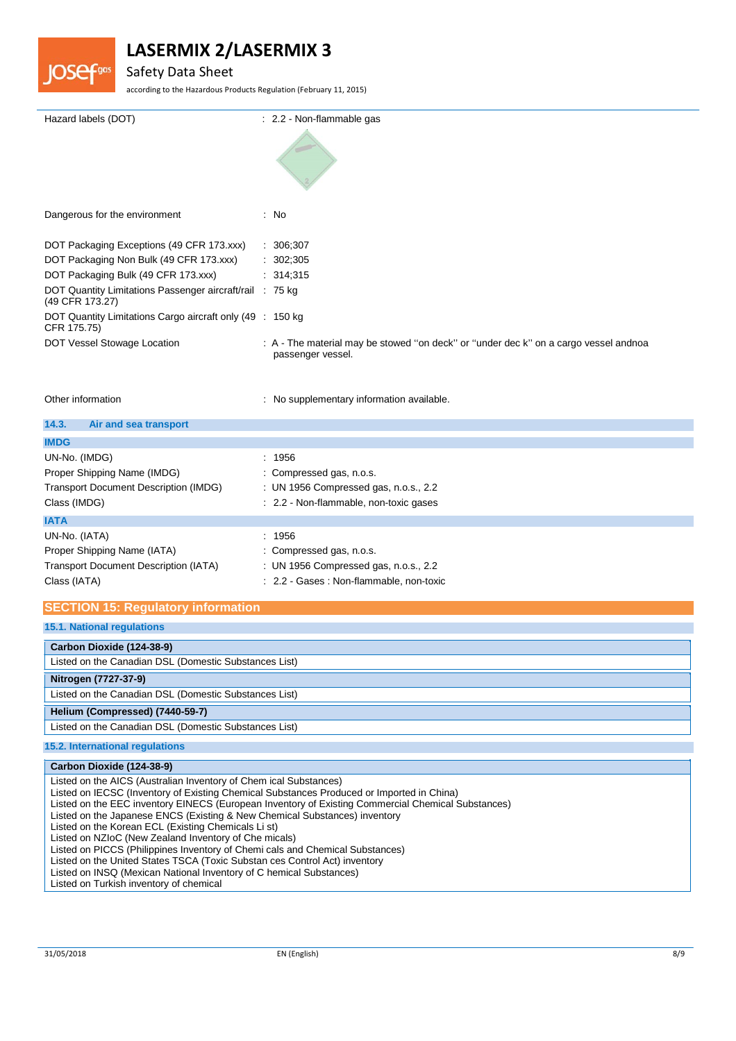

## Safety Data Sheet

according to the Hazardous Products Regulation (February 11, 2015)

| Hazard labels (DOT)                                                         | : 2.2 - Non-flammable gas                                                                                 |
|-----------------------------------------------------------------------------|-----------------------------------------------------------------------------------------------------------|
| Dangerous for the environment                                               | : No                                                                                                      |
| DOT Packaging Exceptions (49 CFR 173.xxx)                                   | : 306,307                                                                                                 |
| DOT Packaging Non Bulk (49 CFR 173.xxx)                                     | : 302,305                                                                                                 |
| DOT Packaging Bulk (49 CFR 173.xxx)                                         | : 314,315                                                                                                 |
| DOT Quantity Limitations Passenger aircraft/rail : 75 kg<br>(49 CFR 173.27) |                                                                                                           |
| DOT Quantity Limitations Cargo aircraft only (49 : 150 kg)<br>CFR 175.75)   |                                                                                                           |
| DOT Vessel Stowage Location                                                 | : A - The material may be stowed "on deck" or "under dec k" on a cargo vessel andnoa<br>passenger vessel. |

Other information **contracts** : No supplementary information available.

| 14.3.<br>Air and sea transport               |                                          |
|----------------------------------------------|------------------------------------------|
| <b>IMDG</b>                                  |                                          |
| UN-No. (IMDG)                                | : 1956                                   |
| Proper Shipping Name (IMDG)                  | : Compressed gas, n.o.s.                 |
| <b>Transport Document Description (IMDG)</b> | : UN 1956 Compressed gas, n.o.s., 2.2    |
| Class (IMDG)                                 | : 2.2 - Non-flammable, non-toxic gases   |
| <b>IATA</b>                                  |                                          |
| UN-No. (IATA)                                | : 1956                                   |
| Proper Shipping Name (IATA)                  | : Compressed gas, n.o.s.                 |
| <b>Transport Document Description (IATA)</b> | : UN 1956 Compressed gas, n.o.s., 2.2    |
| Class (IATA)                                 | : 2.2 - Gases : Non-flammable, non-toxic |

### **SECTION 15: Regulatory information**

**15.1. National regulations**

| Carbon Dioxide (124-38-9)                             |  |
|-------------------------------------------------------|--|
| Listed on the Canadian DSL (Domestic Substances List) |  |
| Nitrogen (7727-37-9)                                  |  |
| Listed on the Canadian DSL (Domestic Substances List) |  |
| Helium (Compressed) (7440-59-7)                       |  |
| Listed on the Canadian DSL (Domestic Substances List) |  |
| <b>15.2. International regulations</b>                |  |

| Carbon Dioxide (124-38-9)                                                                          |
|----------------------------------------------------------------------------------------------------|
| Listed on the AICS (Australian Inventory of Chem ical Substances)                                  |
| Listed on IECSC (Inventory of Existing Chemical Substances Produced or Imported in China)          |
| Listed on the EEC inventory EINECS (European Inventory of Existing Commercial Chemical Substances) |
| Listed on the Japanese ENCS (Existing & New Chemical Substances) inventory                         |
| Listed on the Korean ECL (Existing Chemicals Li st)                                                |
| Listed on NZIoC (New Zealand Inventory of Che micals)                                              |
| Listed on PICCS (Philippines Inventory of Chemi cals and Chemical Substances)                      |
| Listed on the United States TSCA (Toxic Substan ces Control Act) inventory                         |
| Listed on INSQ (Mexican National Inventory of C hemical Substances)                                |
| Listed on Turkish inventory of chemical                                                            |